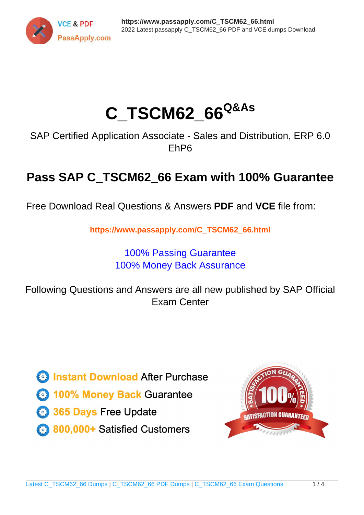

# **C\_TSCM62\_66Q&As**

SAP Certified Application Associate - Sales and Distribution, ERP 6.0 EhP6

## **Pass SAP C\_TSCM62\_66 Exam with 100% Guarantee**

Free Download Real Questions & Answers **PDF** and **VCE** file from:

**https://www.passapply.com/C\_TSCM62\_66.html**

### 100% Passing Guarantee 100% Money Back Assurance

Following Questions and Answers are all new published by SAP Official Exam Center

**Colonization** Download After Purchase

- **@ 100% Money Back Guarantee**
- **63 365 Days Free Update**
- 800,000+ Satisfied Customers

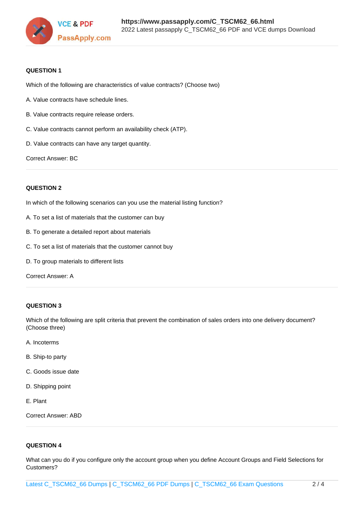

#### **QUESTION 1**

Which of the following are characteristics of value contracts? (Choose two)

- A. Value contracts have schedule lines.
- B. Value contracts require release orders.
- C. Value contracts cannot perform an availability check (ATP).
- D. Value contracts can have any target quantity.

Correct Answer: BC

#### **QUESTION 2**

In which of the following scenarios can you use the material listing function?

- A. To set a list of materials that the customer can buy
- B. To generate a detailed report about materials
- C. To set a list of materials that the customer cannot buy
- D. To group materials to different lists

Correct Answer: A

#### **QUESTION 3**

Which of the following are split criteria that prevent the combination of sales orders into one delivery document? (Choose three)

- A. Incoterms
- B. Ship-to party
- C. Goods issue date
- D. Shipping point
- E. Plant

Correct Answer: ABD

#### **QUESTION 4**

What can you do if you configure only the account group when you define Account Groups and Field Selections for Customers?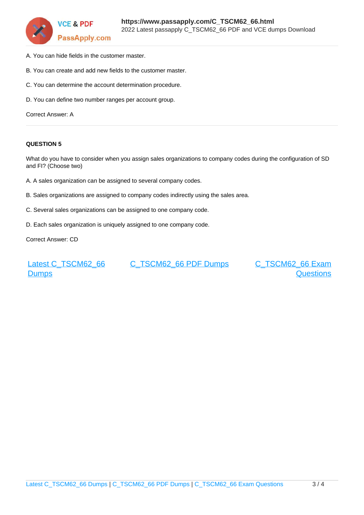

- A. You can hide fields in the customer master.
- B. You can create and add new fields to the customer master.
- C. You can determine the account determination procedure.
- D. You can define two number ranges per account group.

Correct Answer: A

#### **QUESTION 5**

What do you have to consider when you assign sales organizations to company codes during the configuration of SD and FI? (Choose two)

- A. A sales organization can be assigned to several company codes.
- B. Sales organizations are assigned to company codes indirectly using the sales area.
- C. Several sales organizations can be assigned to one company code.
- D. Each sales organization is uniquely assigned to one company code.

Correct Answer: CD

[Latest C\\_TSCM62\\_66](https://www.passapply.com/C_TSCM62_66.html) **[Dumps](https://www.passapply.com/C_TSCM62_66.html)** 

[C\\_TSCM62\\_66 PDF Dumps](https://www.passapply.com/C_TSCM62_66.html) [C\\_TSCM62\\_66 Exam](https://www.passapply.com/C_TSCM62_66.html)

**[Questions](https://www.passapply.com/C_TSCM62_66.html)**